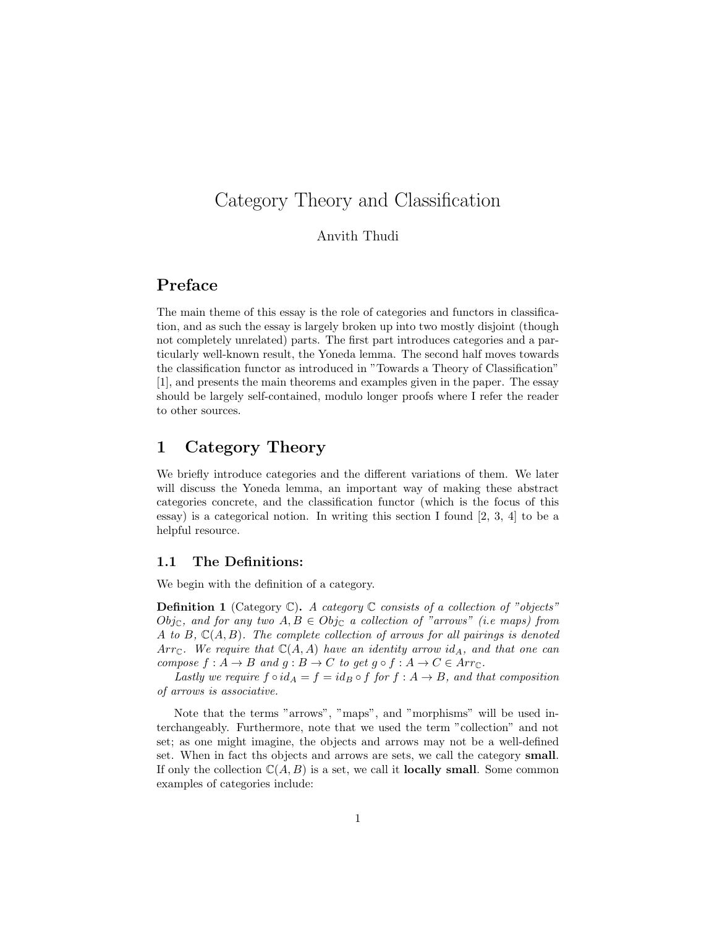# Category Theory and Classification

#### Anvith Thudi

# Preface

The main theme of this essay is the role of categories and functors in classification, and as such the essay is largely broken up into two mostly disjoint (though not completely unrelated) parts. The first part introduces categories and a particularly well-known result, the Yoneda lemma. The second half moves towards the classification functor as introduced in "Towards a Theory of Classification" [1], and presents the main theorems and examples given in the paper. The essay should be largely self-contained, modulo longer proofs where I refer the reader to other sources.

## 1 Category Theory

We briefly introduce categories and the different variations of them. We later will discuss the Yoneda lemma, an important way of making these abstract categories concrete, and the classification functor (which is the focus of this essay) is a categorical notion. In writing this section I found [2, 3, 4] to be a helpful resource.

#### 1.1 The Definitions:

We begin with the definition of a category.

**Definition 1** (Category  $\mathbb{C}$ ). A category  $\mathbb{C}$  consists of a collection of "objects" Obj<sub>C</sub>, and for any two  $A, B \in Obj_{\mathbb{C}}$  a collection of "arrows" (i.e maps) from A to B,  $\mathbb{C}(A, B)$ . The complete collection of arrows for all pairings is denoted Arr<sub>C</sub>. We require that  $\mathbb{C}(A, A)$  have an identity arrow id<sub>A</sub>, and that one can compose  $f : A \to B$  and  $g : B \to C$  to get  $g \circ f : A \to C \in Arr_{\mathbb{C}}$ .

Lastly we require  $f \circ id_A = f = id_B \circ f$  for  $f : A \to B$ , and that composition of arrows is associative.

Note that the terms "arrows", "maps", and "morphisms" will be used interchangeably. Furthermore, note that we used the term "collection" and not set; as one might imagine, the objects and arrows may not be a well-defined set. When in fact ths objects and arrows are sets, we call the category small. If only the collection  $\mathbb{C}(A, B)$  is a set, we call it **locally small**. Some common examples of categories include: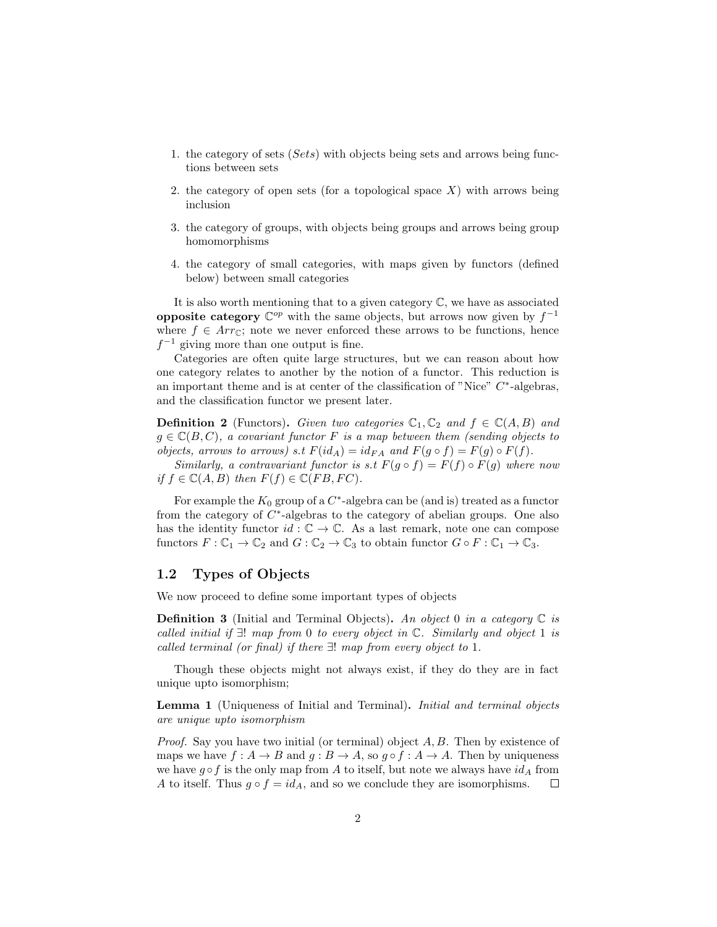- 1. the category of sets (Sets) with objects being sets and arrows being functions between sets
- 2. the category of open sets (for a topological space  $X$ ) with arrows being inclusion
- 3. the category of groups, with objects being groups and arrows being group homomorphisms
- 4. the category of small categories, with maps given by functors (defined below) between small categories

It is also worth mentioning that to a given category C, we have as associated **opposite category**  $\mathbb{C}^{op}$  with the same objects, but arrows now given by  $f^{-1}$ where  $f \in Arr_{\mathbb{C}}$ ; note we never enforced these arrows to be functions, hence  $f^{-1}$  giving more than one output is fine.

Categories are often quite large structures, but we can reason about how one category relates to another by the notion of a functor. This reduction is an important theme and is at center of the classification of "Nice"  $C^*$ -algebras, and the classification functor we present later.

**Definition 2** (Functors). Given two categories  $\mathbb{C}_1, \mathbb{C}_2$  and  $f \in \mathbb{C}(A, B)$  and  $g \in \mathbb{C}(B, C)$ , a covariant functor F is a map between them (sending objects to objects, arrows to arrows) s.t  $F(id_A) = id_{FA}$  and  $F(g \circ f) = F(g) \circ F(f)$ .

Similarly, a contravariant functor is s.t  $F(g \circ f) = F(f) \circ F(g)$  where now if  $f \in \mathbb{C}(A, B)$  then  $F(f) \in \mathbb{C}(FB, FC)$ .

For example the  $K_0$  group of a  $C^*$ -algebra can be (and is) treated as a functor from the category of  $C^*$ -algebras to the category of abelian groups. One also has the identity functor  $id : \mathbb{C} \to \mathbb{C}$ . As a last remark, note one can compose functors  $F: \mathbb{C}_1 \to \mathbb{C}_2$  and  $G: \mathbb{C}_2 \to \mathbb{C}_3$  to obtain functor  $G \circ F: \mathbb{C}_1 \to \mathbb{C}_3$ .

#### 1.2 Types of Objects

We now proceed to define some important types of objects

**Definition 3** (Initial and Terminal Objects). An object 0 in a category  $\mathbb C$  is called initial if  $\exists!$  map from 0 to every object in  $\mathbb{C}$ . Similarly and object 1 is called terminal (or final) if there ∃! map from every object to 1.

Though these objects might not always exist, if they do they are in fact unique upto isomorphism;

Lemma 1 (Uniqueness of Initial and Terminal). Initial and terminal objects are unique upto isomorphism

*Proof.* Say you have two initial (or terminal) object  $A, B$ . Then by existence of maps we have  $f: A \to B$  and  $g: B \to A$ , so  $g \circ f: A \to A$ . Then by uniqueness we have  $g \circ f$  is the only map from A to itself, but note we always have  $id_A$  from A to itself. Thus  $g \circ f = id_A$ , and so we conclude they are isomorphisms.  $\Box$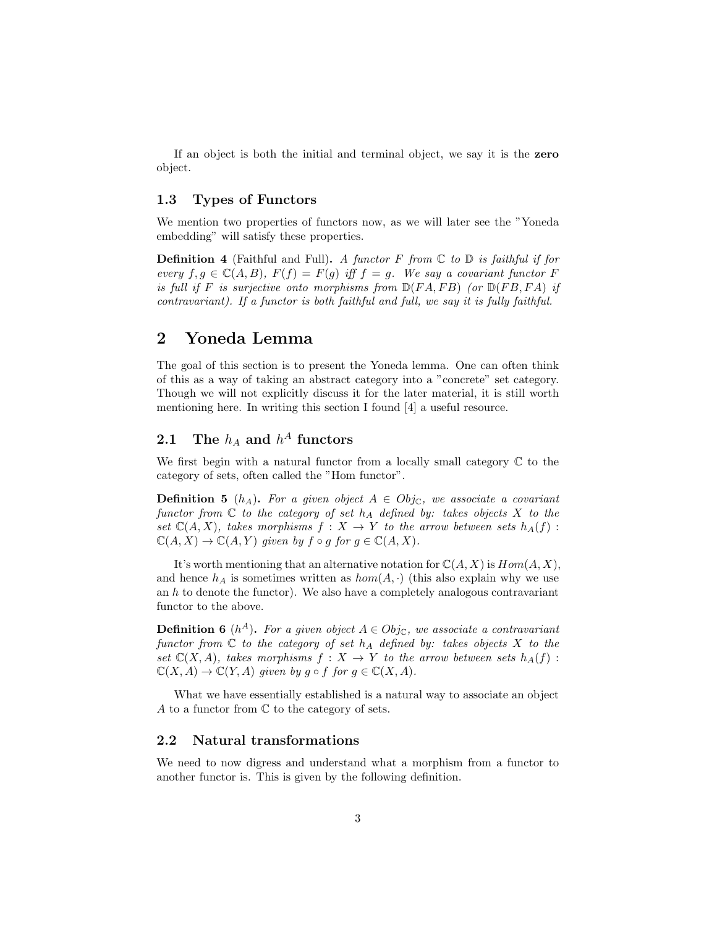If an object is both the initial and terminal object, we say it is the zero object.

#### 1.3 Types of Functors

We mention two properties of functors now, as we will later see the "Yoneda embedding" will satisfy these properties.

**Definition 4** (Faithful and Full). A functor F from  $\mathbb C$  to  $\mathbb D$  is faithful if for every  $f, g \in \mathbb{C}(A, B), F(f) = F(g)$  iff  $f = g$ . We say a covariant functor F is full if F is surjective onto morphisms from  $\mathbb{D}(FA, FB)$  (or  $\mathbb{D}(FB, FA)$  if contravariant). If a functor is both faithful and full, we say it is fully faithful.

## 2 Yoneda Lemma

The goal of this section is to present the Yoneda lemma. One can often think of this as a way of taking an abstract category into a "concrete" set category. Though we will not explicitly discuss it for the later material, it is still worth mentioning here. In writing this section I found [4] a useful resource.

## 2.1 The  $h_A$  and  $h^A$  functors

We first begin with a natural functor from a locally small category  $\mathbb C$  to the category of sets, often called the "Hom functor".

**Definition 5** (h<sub>A</sub>). For a given object  $A \in Obj_{\mathbb{C}}$ , we associate a covariant functor from  $\mathbb C$  to the category of set  $h_A$  defined by: takes objects X to the set  $\mathbb{C}(A, X)$ , takes morphisms  $f : X \to Y$  to the arrow between sets  $h_A(f)$ :  $\mathbb{C}(A, X) \to \mathbb{C}(A, Y)$  given by  $f \circ g$  for  $g \in \mathbb{C}(A, X)$ .

It's worth mentioning that an alternative notation for  $\mathbb{C}(A, X)$  is  $Hom(A, X)$ , and hence  $h_A$  is sometimes written as  $hom(A, \cdot)$  (this also explain why we use an  $h$  to denote the functor). We also have a completely analogous contravariant functor to the above.

**Definition 6** ( $h^A$ ). For a given object  $A \in Obj_{\mathbb{C}}$ , we associate a contravariant functor from  $\mathbb C$  to the category of set  $h_A$  defined by: takes objects X to the set  $\mathbb{C}(X, A)$ , takes morphisms  $f : X \to Y$  to the arrow between sets  $h_A(f)$ :  $\mathbb{C}(X, A) \to \mathbb{C}(Y, A)$  given by  $g \circ f$  for  $g \in \mathbb{C}(X, A)$ .

What we have essentially established is a natural way to associate an object A to a functor from  $\mathbb C$  to the category of sets.

#### 2.2 Natural transformations

We need to now digress and understand what a morphism from a functor to another functor is. This is given by the following definition.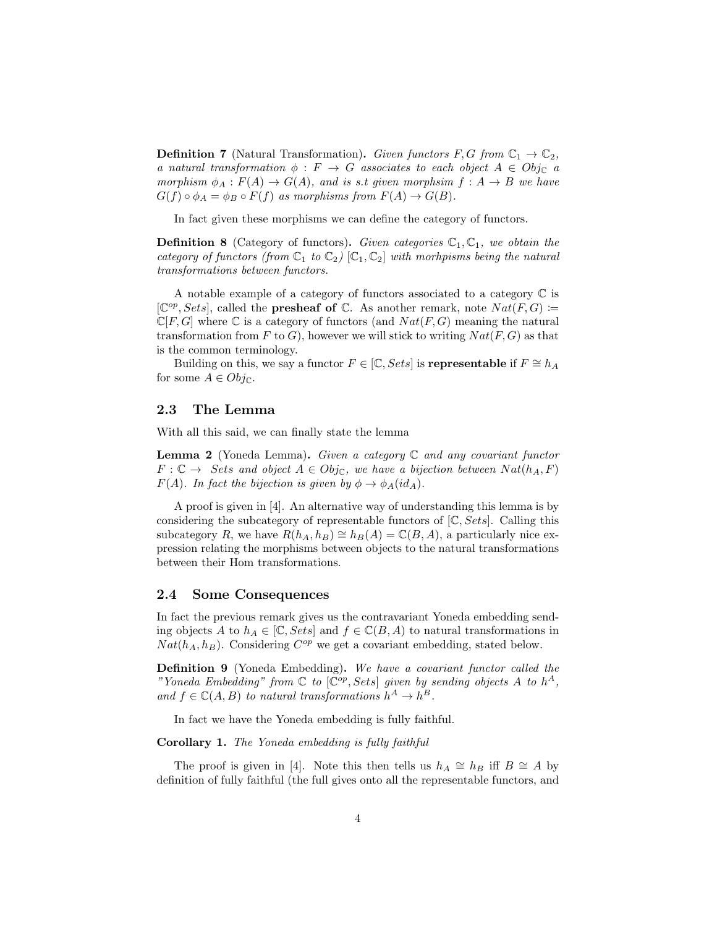**Definition 7** (Natural Transformation). Given functors F, G from  $\mathbb{C}_1 \to \mathbb{C}_2$ , a natural transformation  $\phi : F \to G$  associates to each object  $A \in Obj_{\mathbb{C}}$  a morphism  $\phi_A : F(A) \to G(A)$ , and is s.t given morphsim  $f : A \to B$  we have  $G(f) \circ \phi_A = \phi_B \circ F(f)$  as morphisms from  $F(A) \to G(B)$ .

In fact given these morphisms we can define the category of functors.

**Definition 8** (Category of functors). Given categories  $\mathbb{C}_1$ ,  $\mathbb{C}_1$ , we obtain the category of functors (from  $\mathbb{C}_1$  to  $\mathbb{C}_2$ )  $[\mathbb{C}_1,\mathbb{C}_2]$  with morthpisms being the natural transformations between functors.

A notable example of a category of functors associated to a category  $\mathbb C$  is  $[\mathbb{C}^{op}, Sets]$ , called the **presheaf of**  $\mathbb{C}$ . As another remark, note  $Nat(F, G) :=$  $\mathbb{C}[F,G]$  where  $\mathbb C$  is a category of functors (and  $Nat(F,G)$  meaning the natural transformation from F to G), however we will stick to writing  $Nat(F, G)$  as that is the common terminology.

Building on this, we say a functor  $F \in [\mathbb{C}, Sets]$  is **representable** if  $F \cong h_A$ for some  $A \in Obj_{\mathbb{C}}$ .

#### 2.3 The Lemma

With all this said, we can finally state the lemma

**Lemma 2** (Yoneda Lemma). Given a category  $\mathbb C$  and any covariant functor  $F: \mathbb{C} \to \text{Sets}$  and object  $A \in Obj_{\mathbb{C}}$ , we have a bijection between  $Nat(h_A, F)$  $F(A)$ . In fact the bijection is given by  $\phi \to \phi_A(id_A)$ .

A proof is given in [4]. An alternative way of understanding this lemma is by considering the subcategory of representable functors of  $[\mathbb{C}, Sets]$ . Calling this subcategory R, we have  $R(h_A, h_B) \cong h_B(A) = \mathbb{C}(B, A)$ , a particularly nice expression relating the morphisms between objects to the natural transformations between their Hom transformations.

#### 2.4 Some Consequences

In fact the previous remark gives us the contravariant Yoneda embedding sending objects A to  $h_A \in [\mathbb{C}, Sets]$  and  $f \in \mathbb{C}(B, A)$  to natural transformations in  $Nat(h_A, h_B)$ . Considering  $C^{op}$  we get a covariant embedding, stated below.

Definition 9 (Yoneda Embedding). We have a covariant functor called the "Yoneda Embedding" from  $\mathbb C$  to  $[\mathbb C^{op}, Sets]$  given by sending objects A to  $h^A$ , and  $f \in \mathbb{C}(A, B)$  to natural transformations  $h^A \to h^B$ .

In fact we have the Yoneda embedding is fully faithful.

Corollary 1. The Yoneda embedding is fully faithful

The proof is given in [4]. Note this then tells us  $h_A \cong h_B$  iff  $B \cong A$  by definition of fully faithful (the full gives onto all the representable functors, and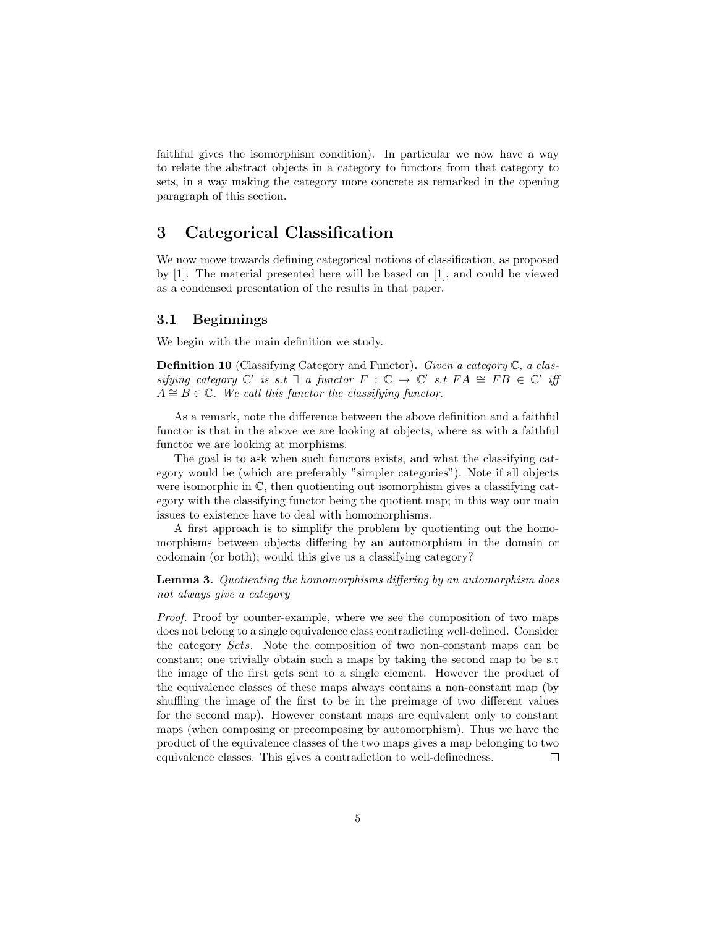faithful gives the isomorphism condition). In particular we now have a way to relate the abstract objects in a category to functors from that category to sets, in a way making the category more concrete as remarked in the opening paragraph of this section.

## 3 Categorical Classification

We now move towards defining categorical notions of classification, as proposed by [1]. The material presented here will be based on [1], and could be viewed as a condensed presentation of the results in that paper.

#### 3.1 Beginnings

We begin with the main definition we study.

**Definition 10** (Classifying Category and Functor). Given a category  $\mathbb{C}$ , a classifying category  $\mathbb{C}'$  is s.t  $\exists$  a functor  $F : \mathbb{C} \to \mathbb{C}'$  s.t  $FA \cong FB \in \mathbb{C}'$  iff  $A \cong B \in \mathbb{C}$ . We call this functor the classifying functor.

As a remark, note the difference between the above definition and a faithful functor is that in the above we are looking at objects, where as with a faithful functor we are looking at morphisms.

The goal is to ask when such functors exists, and what the classifying category would be (which are preferably "simpler categories"). Note if all objects were isomorphic in  $\mathbb{C}$ , then quotienting out isomorphism gives a classifying category with the classifying functor being the quotient map; in this way our main issues to existence have to deal with homomorphisms.

A first approach is to simplify the problem by quotienting out the homomorphisms between objects differing by an automorphism in the domain or codomain (or both); would this give us a classifying category?

Lemma 3. Quotienting the homomorphisms differing by an automorphism does not always give a category

Proof. Proof by counter-example, where we see the composition of two maps does not belong to a single equivalence class contradicting well-defined. Consider the category Sets. Note the composition of two non-constant maps can be constant; one trivially obtain such a maps by taking the second map to be s.t the image of the first gets sent to a single element. However the product of the equivalence classes of these maps always contains a non-constant map (by shuffling the image of the first to be in the preimage of two different values for the second map). However constant maps are equivalent only to constant maps (when composing or precomposing by automorphism). Thus we have the product of the equivalence classes of the two maps gives a map belonging to two equivalence classes. This gives a contradiction to well-definedness.  $\Box$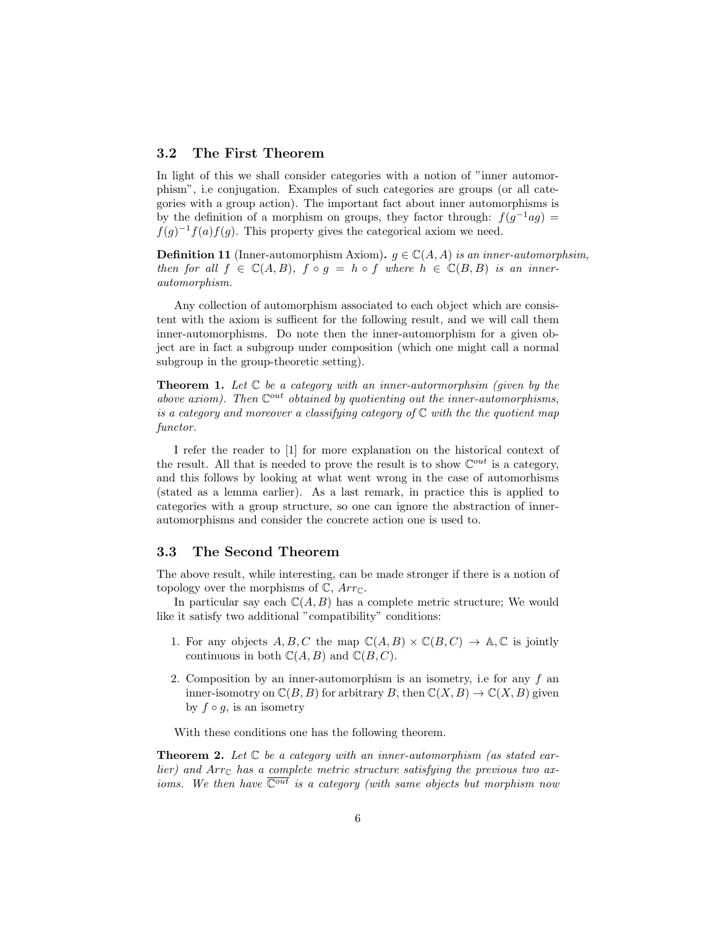### 3.2 The First Theorem

In light of this we shall consider categories with a notion of "inner automorphism", i.e conjugation. Examples of such categories are groups (or all categories with a group action). The important fact about inner automorphisms is by the definition of a morphism on groups, they factor through:  $f(g^{-1}ag)$  =  $f(g)^{-1}f(a)f(g)$ . This property gives the categorical axiom we need.

**Definition 11** (Inner-automorphism Axiom).  $g \in \mathbb{C}(A, A)$  is an inner-automorphsim, then for all  $f \in \mathbb{C}(A, B)$ ,  $f \circ g = h \circ f$  where  $h \in \mathbb{C}(B, B)$  is an innerautomorphism.

Any collection of automorphism associated to each object which are consistent with the axiom is sufficent for the following result, and we will call them inner-automorphisms. Do note then the inner-automorphism for a given object are in fact a subgroup under composition (which one might call a normal subgroup in the group-theoretic setting).

**Theorem 1.** Let  $C$  be a category with an inner-autormorphsim (given by the above axiom). Then  $\mathbb{C}^{out}$  obtained by quotienting out the inner-automorphisms, is a category and moreover a classifying category of  $\mathbb C$  with the the quotient map functor.

I refer the reader to [1] for more explanation on the historical context of the result. All that is needed to prove the result is to show  $\mathbb{C}^{out}$  is a category, and this follows by looking at what went wrong in the case of automorhisms (stated as a lemma earlier). As a last remark, in practice this is applied to categories with a group structure, so one can ignore the abstraction of innerautomorphisms and consider the concrete action one is used to.

### 3.3 The Second Theorem

The above result, while interesting, can be made stronger if there is a notion of topology over the morphisms of  $\mathbb{C}$ ,  $Arr_{\mathbb{C}}$ .

In particular say each  $\mathbb{C}(A, B)$  has a complete metric structure; We would like it satisfy two additional "compatibility" conditions:

- 1. For any objects A, B, C the map  $\mathbb{C}(A, B) \times \mathbb{C}(B, C) \to \mathbb{A}, \mathbb{C}$  is jointly continuous in both  $\mathbb{C}(A, B)$  and  $\mathbb{C}(B, C)$ .
- 2. Composition by an inner-automorphism is an isometry, i.e for any f an inner-isomotry on  $\mathbb{C}(B, B)$  for arbitrary B, then  $\mathbb{C}(X, B) \to \mathbb{C}(X, B)$  given by  $f \circ g$ , is an isometry

With these conditions one has the following theorem.

**Theorem 2.** Let  $\mathbb C$  be a category with an inner-automorphism (as stated earlier) and  $Arr_{\mathbb{C}}$  has a complete metric structure satisfying the previous two axioms. We then have  $\overline{\mathbb{C}^{out}}$  is a category (with same objects but morphism now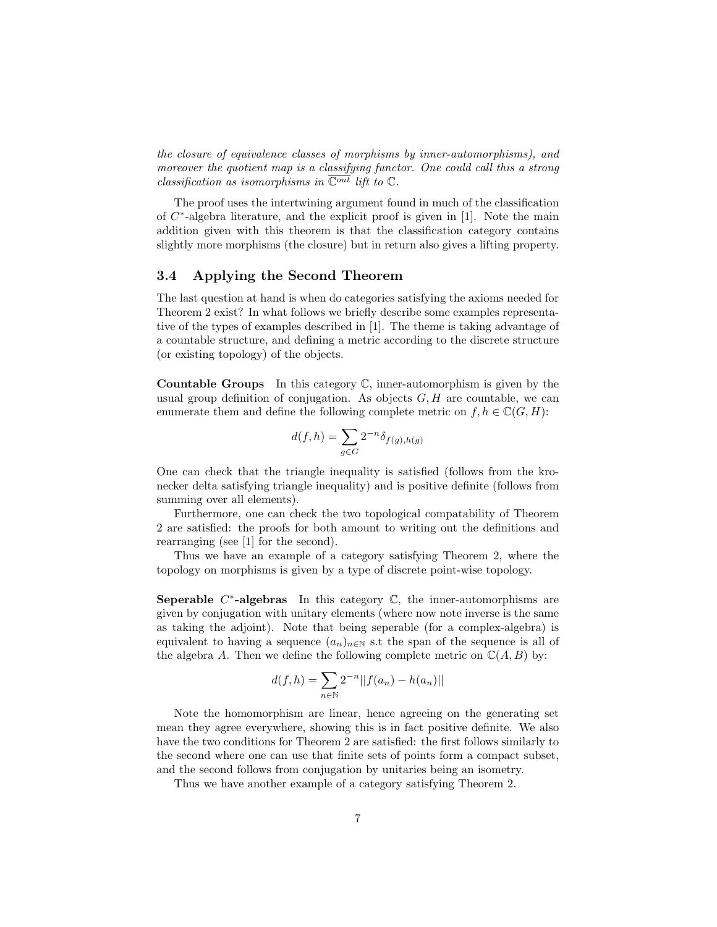the closure of equivalence classes of morphisms by inner-automorphisms), and moreover the quotient map is a classifying functor. One could call this a strong classification as isomorphisms in  $\overline{\mathbb{C}^{out}}$  lift to  $\mathbb{C}$ .

The proof uses the intertwining argument found in much of the classification of  $C^*$ -algebra literature, and the explicit proof is given in [1]. Note the main addition given with this theorem is that the classification category contains slightly more morphisms (the closure) but in return also gives a lifting property.

### 3.4 Applying the Second Theorem

The last question at hand is when do categories satisfying the axioms needed for Theorem 2 exist? In what follows we briefly describe some examples representative of the types of examples described in [1]. The theme is taking advantage of a countable structure, and defining a metric according to the discrete structure (or existing topology) of the objects.

**Countable Groups** In this category  $\mathbb{C}$ , inner-automorphism is given by the usual group definition of conjugation. As objects  $G, H$  are countable, we can enumerate them and define the following complete metric on  $f, h \in \mathbb{C}(G, H)$ :

$$
d(f, h) = \sum_{g \in G} 2^{-n} \delta_{f(g), h(g)}
$$

One can check that the triangle inequality is satisfied (follows from the kronecker delta satisfying triangle inequality) and is positive definite (follows from summing over all elements).

Furthermore, one can check the two topological compatability of Theorem 2 are satisfied: the proofs for both amount to writing out the definitions and rearranging (see [1] for the second).

Thus we have an example of a category satisfying Theorem 2, where the topology on morphisms is given by a type of discrete point-wise topology.

Seperable  $C^*$ -algebras In this category  $\mathbb{C}$ , the inner-automorphisms are given by conjugation with unitary elements (where now note inverse is the same as taking the adjoint). Note that being seperable (for a complex-algebra) is equivalent to having a sequence  $(a_n)_{n\in\mathbb{N}}$  s.t the span of the sequence is all of the algebra A. Then we define the following complete metric on  $\mathbb{C}(A, B)$  by:

$$
d(f, h) = \sum_{n \in \mathbb{N}} 2^{-n} ||f(a_n) - h(a_n)||
$$

Note the homomorphism are linear, hence agreeing on the generating set mean they agree everywhere, showing this is in fact positive definite. We also have the two conditions for Theorem 2 are satisfied: the first follows similarly to the second where one can use that finite sets of points form a compact subset, and the second follows from conjugation by unitaries being an isometry.

Thus we have another example of a category satisfying Theorem 2.